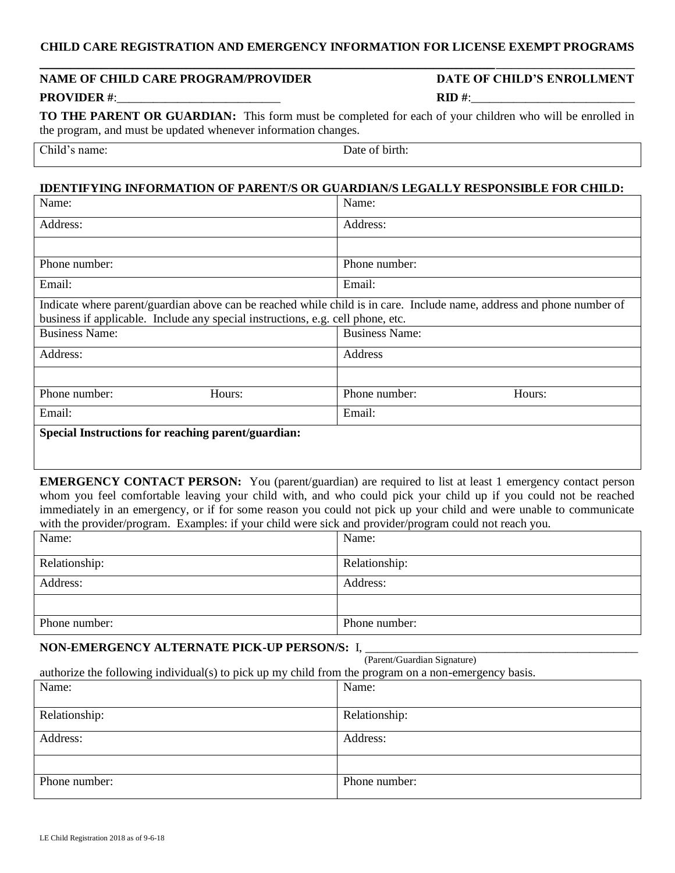# **CHILD CARE REGISTRATION AND EMERGENCY INFORMATION FOR LICENSE EXEMPT PROGRAMS \_\_\_\_\_\_\_\_\_\_\_\_\_\_\_\_\_\_\_\_\_\_\_\_\_\_\_\_\_\_\_\_\_\_\_\_\_\_\_\_\_\_\_\_\_\_\_\_\_\_\_\_\_\_\_\_\_\_\_**\_\_\_\_\_\_\_\_\_\_\_\_\_\_\_\_\_\_

# **NAME OF CHILD CARE PROGRAM/PROVIDER DATE OF CHILD'S ENROLLMENT PROVIDER #**:\_\_\_\_\_\_\_\_\_\_\_\_\_\_\_\_\_\_\_\_\_\_\_\_\_\_\_ **RID #**:\_\_\_\_\_\_\_\_\_\_\_\_\_\_\_\_\_\_\_\_\_\_\_\_\_\_\_

**TO THE PARENT OR GUARDIAN:** This form must be completed for each of your children who will be enrolled in the program, and must be updated whenever information changes.

| $\sim$<br>. Бъ<br>,,,,,<br>.<br>ັ້ນ | Jate<br><br>DH<br>.<br>ш.<br>-- |
|-------------------------------------|---------------------------------|

### **IDENTIFYING INFORMATION OF PARENT/S OR GUARDIAN/S LEGALLY RESPONSIBLE FOR CHILD:**

| Name:                                                                                                                 | Name:                   |  |  |
|-----------------------------------------------------------------------------------------------------------------------|-------------------------|--|--|
| Address:                                                                                                              | Address:                |  |  |
|                                                                                                                       |                         |  |  |
| Phone number:                                                                                                         | Phone number:           |  |  |
| Email:                                                                                                                | Email:                  |  |  |
| Indicate where parent/guardian above can be reached while child is in care. Include name, address and phone number of |                         |  |  |
| business if applicable. Include any special instructions, e.g. cell phone, etc.                                       |                         |  |  |
| <b>Business Name:</b>                                                                                                 | <b>Business Name:</b>   |  |  |
| Address:                                                                                                              | Address                 |  |  |
|                                                                                                                       |                         |  |  |
| Phone number:<br>Hours:                                                                                               | Phone number:<br>Hours: |  |  |
| Email:                                                                                                                | Email:                  |  |  |
| Special Instructions for reaching parent/guardian:                                                                    |                         |  |  |
|                                                                                                                       |                         |  |  |

**EMERGENCY CONTACT PERSON:** You (parent/guardian) are required to list at least 1 emergency contact person whom you feel comfortable leaving your child with, and who could pick your child up if you could not be reached immediately in an emergency, or if for some reason you could not pick up your child and were unable to communicate with the provider/program. Examples: if your child were sick and provider/program could not reach you.

| Name:         | Name:         |
|---------------|---------------|
| Relationship: | Relationship: |
| Address:      | Address:      |
|               |               |
| Phone number: | Phone number: |

(Parent/Guardian Signature)

#### NON-EMERGENCY ALTERNATE PICK-UP PERSON/S: I,

| $(1 \text{ m})$ saturatum $\mathcal{L}_{\text{S}}$ muten $\mathcal{L}_{\text{S}}$                    |
|------------------------------------------------------------------------------------------------------|
| authorize the following individual(s) to pick up my child from the program on a non-emergency basis. |

| Name:         | Name:         |
|---------------|---------------|
| Relationship: | Relationship: |
| Address:      | Address:      |
|               |               |
| Phone number: | Phone number: |